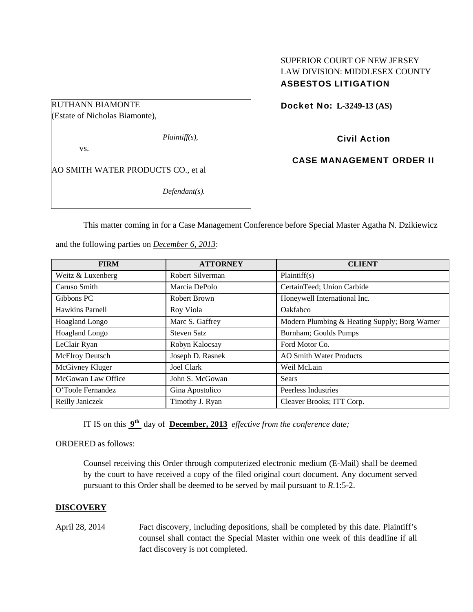# SUPERIOR COURT OF NEW JERSEY LAW DIVISION: MIDDLESEX COUNTY ASBESTOS LITIGATION

Docket No: **L-3249-13 (AS)** 

RUTHANN BIAMONTE (Estate of Nicholas Biamonte),

*Plaintiff(s),* 

vs.

AO SMITH WATER PRODUCTS CO., et al

*Defendant(s).* 

Civil Action

CASE MANAGEMENT ORDER II

This matter coming in for a Case Management Conference before Special Master Agatha N. Dzikiewicz

and the following parties on *December 6, 2013*:

| <b>FIRM</b>           | <b>ATTORNEY</b>    | <b>CLIENT</b>                                 |
|-----------------------|--------------------|-----------------------------------------------|
| Weitz & Luxenberg     | Robert Silverman   | Plaintiff(s)                                  |
| Caruso Smith          | Marcia DePolo      | CertainTeed; Union Carbide                    |
| Gibbons PC            | Robert Brown       | Honeywell International Inc.                  |
| Hawkins Parnell       | Roy Viola          | Oakfabco                                      |
| Hoagland Longo        | Marc S. Gaffrey    | Modern Plumbing & Heating Supply; Borg Warner |
| <b>Hoagland Longo</b> | <b>Steven Satz</b> | Burnham; Goulds Pumps                         |
| LeClair Ryan          | Robyn Kalocsay     | Ford Motor Co.                                |
| McElroy Deutsch       | Joseph D. Rasnek   | <b>AO Smith Water Products</b>                |
| McGivney Kluger       | Joel Clark         | Weil McLain                                   |
| McGowan Law Office    | John S. McGowan    | Sears                                         |
| O'Toole Fernandez     | Gina Apostolico    | Peerless Industries                           |
| Reilly Janiczek       | Timothy J. Ryan    | Cleaver Brooks; ITT Corp.                     |

IT IS on this **9th** day of **December, 2013** *effective from the conference date;*

ORDERED as follows:

Counsel receiving this Order through computerized electronic medium (E-Mail) shall be deemed by the court to have received a copy of the filed original court document. Any document served pursuant to this Order shall be deemed to be served by mail pursuant to *R*.1:5-2.

## **DISCOVERY**

April 28, 2014 Fact discovery, including depositions, shall be completed by this date. Plaintiff's counsel shall contact the Special Master within one week of this deadline if all fact discovery is not completed.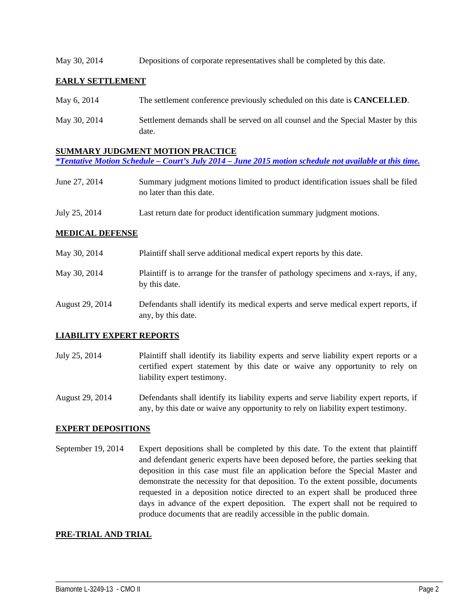#### May 30, 2014 Depositions of corporate representatives shall be completed by this date.

## **EARLY SETTLEMENT**

| May 6, 2014  | The settlement conference previously scheduled on this date is <b>CANCELLED</b> .         |
|--------------|-------------------------------------------------------------------------------------------|
| May 30, 2014 | Settlement demands shall be served on all counsel and the Special Master by this<br>date. |

#### **SUMMARY JUDGMENT MOTION PRACTICE**

```
*Tentative Motion Schedule – Court's July 2014 – June 2015 motion schedule not available at this time.
```
- June 27, 2014 Summary judgment motions limited to product identification issues shall be filed no later than this date.
- July 25, 2014 Last return date for product identification summary judgment motions.

### **MEDICAL DEFENSE**

| May 30, 2014    | Plaintiff shall serve additional medical expert reports by this date.                                    |
|-----------------|----------------------------------------------------------------------------------------------------------|
| May 30, 2014    | Plaintiff is to arrange for the transfer of pathology specimens and x-rays, if any,<br>by this date.     |
| August 29, 2014 | Defendants shall identify its medical experts and serve medical expert reports, if<br>any, by this date. |

### **LIABILITY EXPERT REPORTS**

July 25, 2014 Plaintiff shall identify its liability experts and serve liability expert reports or a certified expert statement by this date or waive any opportunity to rely on liability expert testimony.

August 29, 2014 Defendants shall identify its liability experts and serve liability expert reports, if any, by this date or waive any opportunity to rely on liability expert testimony.

### **EXPERT DEPOSITIONS**

September 19, 2014 Expert depositions shall be completed by this date. To the extent that plaintiff and defendant generic experts have been deposed before, the parties seeking that deposition in this case must file an application before the Special Master and demonstrate the necessity for that deposition. To the extent possible, documents requested in a deposition notice directed to an expert shall be produced three days in advance of the expert deposition. The expert shall not be required to produce documents that are readily accessible in the public domain.

\_\_\_\_\_\_\_\_\_\_\_\_\_\_\_\_\_\_\_\_\_\_\_\_\_\_\_\_\_\_\_\_\_\_\_\_\_\_\_\_\_\_\_\_\_\_\_\_\_\_\_\_\_\_\_\_\_\_\_\_\_\_\_\_\_\_\_\_\_\_\_\_\_\_\_\_\_\_\_\_\_\_\_\_\_\_\_\_\_\_\_\_\_\_\_\_\_\_\_\_\_\_\_\_\_\_\_\_\_\_

### **PRE-TRIAL AND TRIAL**